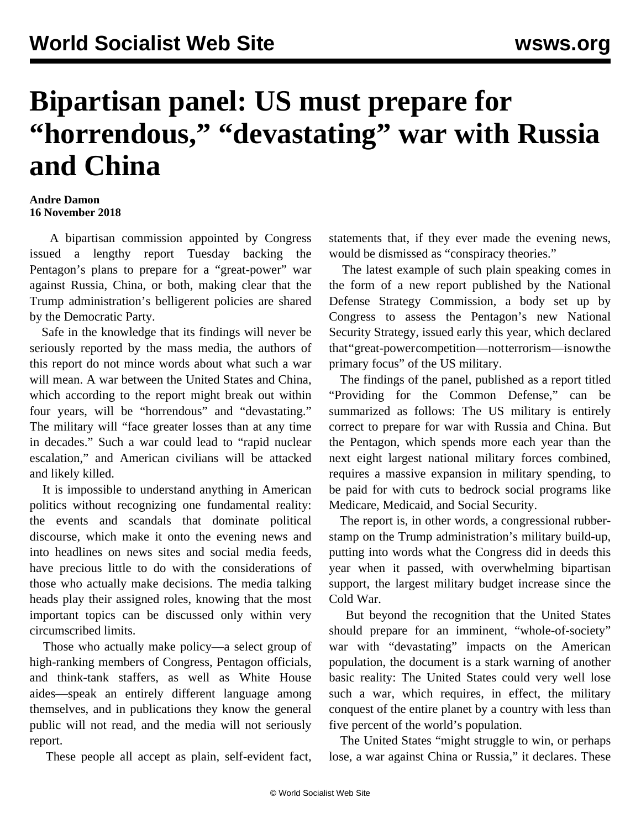## **Bipartisan panel: US must prepare for "horrendous," "devastating" war with Russia and China**

## **Andre Damon 16 November 2018**

 A bipartisan commission appointed by Congress issued a lengthy report Tuesday backing the Pentagon's plans to prepare for a "great-power" war against Russia, China, or both, making clear that the Trump administration's belligerent policies are shared by the Democratic Party.

 Safe in the knowledge that its findings will never be seriously reported by the mass media, the authors of this report do not mince words about what such a war will mean. A war between the United States and China, which according to the report might break out within four years, will be "horrendous" and "devastating." The military will "face greater losses than at any time in decades." Such a war could lead to "rapid nuclear escalation," and American civilians will be attacked and likely killed.

 It is impossible to understand anything in American politics without recognizing one fundamental reality: the events and scandals that dominate political discourse, which make it onto the evening news and into headlines on news sites and social media feeds, have precious little to do with the considerations of those who actually make decisions. The media talking heads play their assigned roles, knowing that the most important topics can be discussed only within very circumscribed limits.

 Those who actually make policy—a select group of high-ranking members of Congress, Pentagon officials, and think-tank staffers, as well as White House aides—speak an entirely different language among themselves, and in publications they know the general public will not read, and the media will not seriously report.

These people all accept as plain, self-evident fact,

statements that, if they ever made the evening news, would be dismissed as "conspiracy theories."

 The latest example of such plain speaking comes in the form of a new report published by the National Defense Strategy Commission, a body set up by Congress to assess the Pentagon's new National Security Strategy, issued early this year, which declared that "great-power competition—not terrorism—is now the primary focus" of the US military.

 The findings of the panel, published as a report titled "Providing for the Common Defense," can be summarized as follows: The US military is entirely correct to prepare for war with Russia and China. But the Pentagon, which spends more each year than the next eight largest national military forces combined, requires a massive expansion in military spending, to be paid for with cuts to bedrock social programs like Medicare, Medicaid, and Social Security.

 The report is, in other words, a congressional rubberstamp on the Trump administration's military build-up, putting into words what the Congress did in deeds this year when it passed, with overwhelming bipartisan support, the largest military budget increase since the Cold War.

 But beyond the recognition that the United States should prepare for an imminent, "whole-of-society" war with "devastating" impacts on the American population, the document is a stark warning of another basic reality: The United States could very well lose such a war, which requires, in effect, the military conquest of the entire planet by a country with less than five percent of the world's population.

 The United States "might struggle to win, or perhaps lose, a war against China or Russia," it declares. These